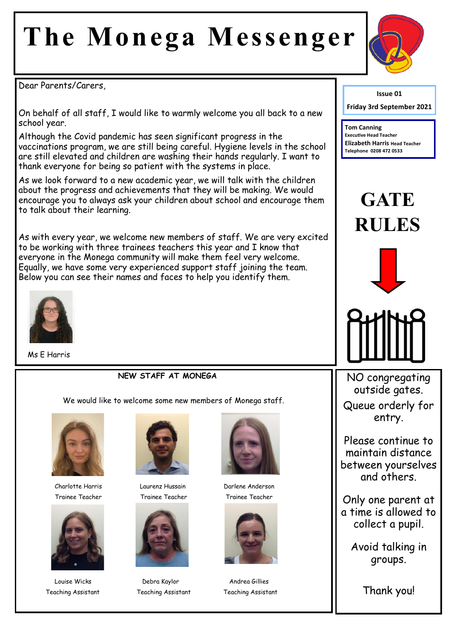# **The Monega Messenger**



Dear Parents/Carers,

On behalf of all staff, I would like to warmly welcome you all back to a new school year.

Although the Covid pandemic has seen significant progress in the vaccinations program, we are still being careful. Hygiene levels in the school are still elevated and children are washing their hands regularly. I want to thank everyone for being so patient with the systems in place.

As we look forward to a new academic year, we will talk with the children about the progress and achievements that they will be making. We would encourage you to always ask your children about school and encourage them to talk about their learning.

As with every year, we welcome new members of staff. We are very excited to be working with three trainees teachers this year and I know that everyone in the Monega community will make them feel very welcome. Equally, we have some very experienced support staff joining the team. Below you can see their names and faces to help you identify them.



Ms E Harris

#### **NEW STAFF AT MONEGA**

We would like to welcome some new members of Monega staff.



Charlotte Harris Laurenz Hussain Darlene Anderson





Trainee Teacher Trainee Teacher Trainee Teacher



Louise Wicks **Debra Kaylor** Andrea Gillies Teaching Assistant Teaching Assistant Teaching Assistant





**Issue 01**

**Friday 3rd September 2021**

**Tom Canning Executive Head Teacher Elizabeth Harris Head Teacher Telephone 0208 472 0533**

## **GATE RULES**





NO congregating outside gates. Queue orderly for entry.

Please continue to maintain distance between yourselves and others.

Only one parent at a time is allowed to collect a pupil.

Avoid talking in groups.

Thank you!